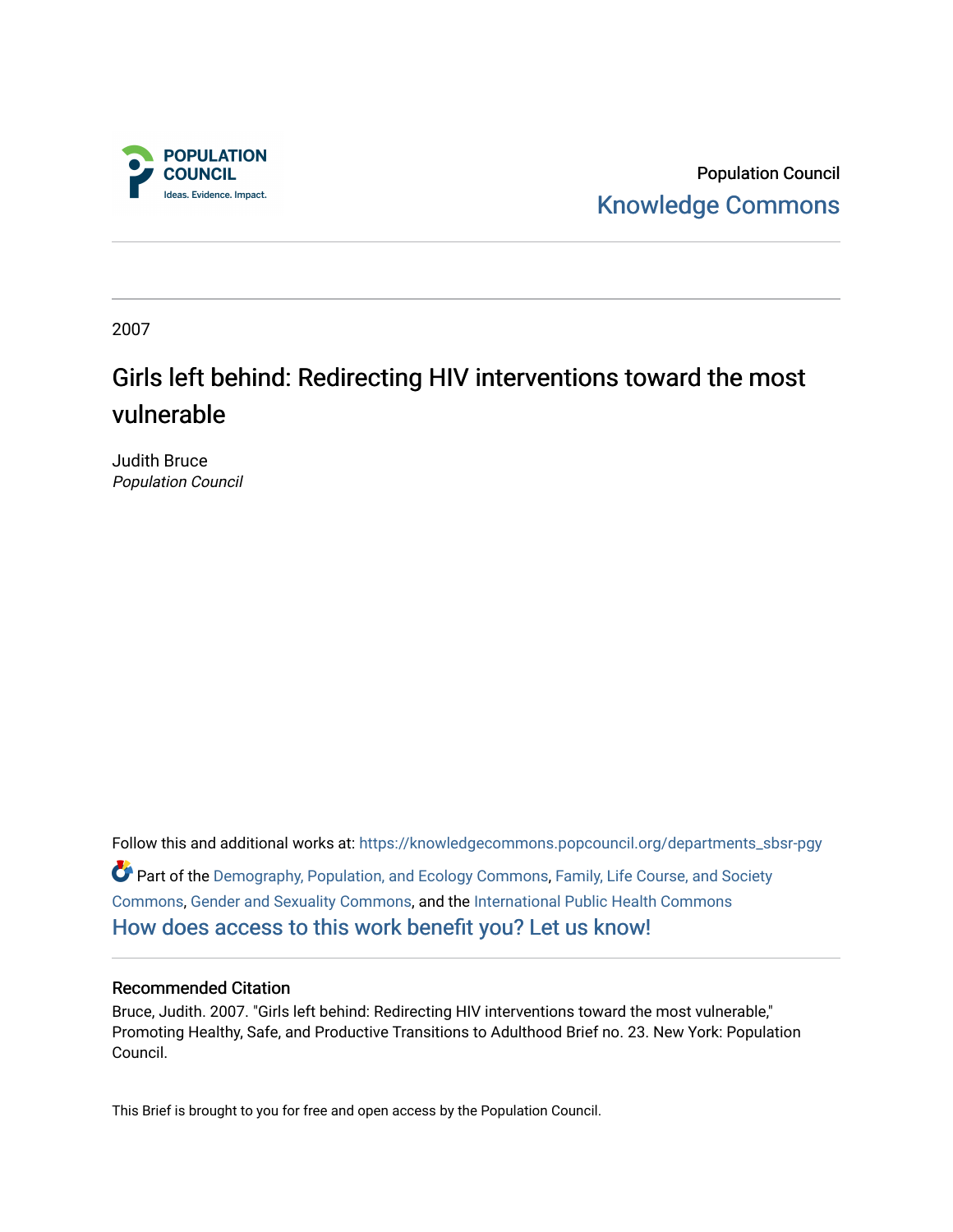

Population Council [Knowledge Commons](https://knowledgecommons.popcouncil.org/) 

2007

# Girls left behind: Redirecting HIV interventions toward the most vulnerable

Judith Bruce Population Council

Follow this and additional works at: [https://knowledgecommons.popcouncil.org/departments\\_sbsr-pgy](https://knowledgecommons.popcouncil.org/departments_sbsr-pgy?utm_source=knowledgecommons.popcouncil.org%2Fdepartments_sbsr-pgy%2F821&utm_medium=PDF&utm_campaign=PDFCoverPages)  Part of the [Demography, Population, and Ecology Commons,](https://network.bepress.com/hgg/discipline/418?utm_source=knowledgecommons.popcouncil.org%2Fdepartments_sbsr-pgy%2F821&utm_medium=PDF&utm_campaign=PDFCoverPages) [Family, Life Course, and Society](https://network.bepress.com/hgg/discipline/419?utm_source=knowledgecommons.popcouncil.org%2Fdepartments_sbsr-pgy%2F821&utm_medium=PDF&utm_campaign=PDFCoverPages)  [Commons](https://network.bepress.com/hgg/discipline/419?utm_source=knowledgecommons.popcouncil.org%2Fdepartments_sbsr-pgy%2F821&utm_medium=PDF&utm_campaign=PDFCoverPages), [Gender and Sexuality Commons,](https://network.bepress.com/hgg/discipline/420?utm_source=knowledgecommons.popcouncil.org%2Fdepartments_sbsr-pgy%2F821&utm_medium=PDF&utm_campaign=PDFCoverPages) and the [International Public Health Commons](https://network.bepress.com/hgg/discipline/746?utm_source=knowledgecommons.popcouncil.org%2Fdepartments_sbsr-pgy%2F821&utm_medium=PDF&utm_campaign=PDFCoverPages)  [How does access to this work benefit you? Let us know!](https://pcouncil.wufoo.com/forms/open-access-to-population-council-research/)

### Recommended Citation

Bruce, Judith. 2007. "Girls left behind: Redirecting HIV interventions toward the most vulnerable," Promoting Healthy, Safe, and Productive Transitions to Adulthood Brief no. 23. New York: Population Council.

This Brief is brought to you for free and open access by the Population Council.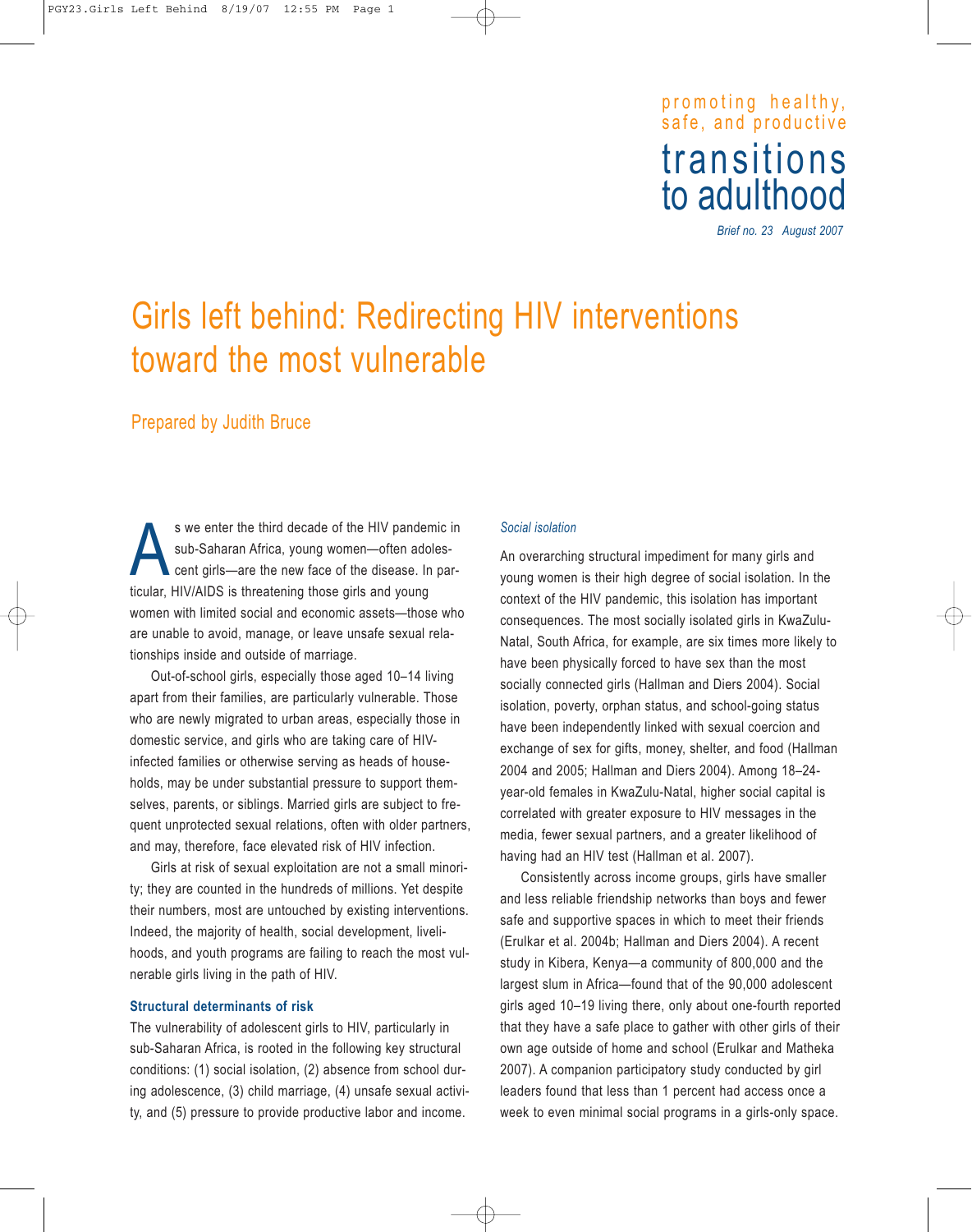# promoting healthy, safe, and productive transitions<br>to adulthood

*Brief no. 23 August 2007*

# Girls left behind: Redirecting HIV interventions toward the most vulnerable

## Prepared by Judith Bruce

s we enter the third decade of the HIV pandemic in<br>sub-Saharan Africa, young women—often adoles-<br>cent girls—are the new face of the disease. In parsub-Saharan Africa, young women—often adolescent girls—are the new face of the disease. In particular, HIV/AIDS is threatening those girls and young women with limited social and economic assets—those who are unable to avoid, manage, or leave unsafe sexual relationships inside and outside of marriage.

Out-of-school girls, especially those aged 10–14 living apart from their families, are particularly vulnerable. Those who are newly migrated to urban areas, especially those in domestic service, and girls who are taking care of HIVinfected families or otherwise serving as heads of households, may be under substantial pressure to support themselves, parents, or siblings. Married girls are subject to frequent unprotected sexual relations, often with older partners, and may, therefore, face elevated risk of HIV infection.

Girls at risk of sexual exploitation are not a small minority; they are counted in the hundreds of millions. Yet despite their numbers, most are untouched by existing interventions. Indeed, the majority of health, social development, livelihoods, and youth programs are failing to reach the most vulnerable girls living in the path of HIV.

#### **Structural determinants of risk**

The vulnerability of adolescent girls to HIV, particularly in sub-Saharan Africa, is rooted in the following key structural conditions: (1) social isolation, (2) absence from school during adolescence, (3) child marriage, (4) unsafe sexual activity, and (5) pressure to provide productive labor and income.

#### *Social isolation*

An overarching structural impediment for many girls and young women is their high degree of social isolation. In the context of the HIV pandemic, this isolation has important consequences. The most socially isolated girls in KwaZulu-Natal, South Africa, for example, are six times more likely to have been physically forced to have sex than the most socially connected girls (Hallman and Diers 2004). Social isolation, poverty, orphan status, and school-going status have been independently linked with sexual coercion and exchange of sex for gifts, money, shelter, and food (Hallman 2004 and 2005; Hallman and Diers 2004). Among 18–24 year-old females in KwaZulu-Natal, higher social capital is correlated with greater exposure to HIV messages in the media, fewer sexual partners, and a greater likelihood of having had an HIV test (Hallman et al. 2007).

Consistently across income groups, girls have smaller and less reliable friendship networks than boys and fewer safe and supportive spaces in which to meet their friends (Erulkar et al. 2004b; Hallman and Diers 2004). A recent study in Kibera, Kenya—a community of 800,000 and the largest slum in Africa—found that of the 90,000 adolescent girls aged 10–19 living there, only about one-fourth reported that they have a safe place to gather with other girls of their own age outside of home and school (Erulkar and Matheka 2007). A companion participatory study conducted by girl leaders found that less than 1 percent had access once a week to even minimal social programs in a girls-only space.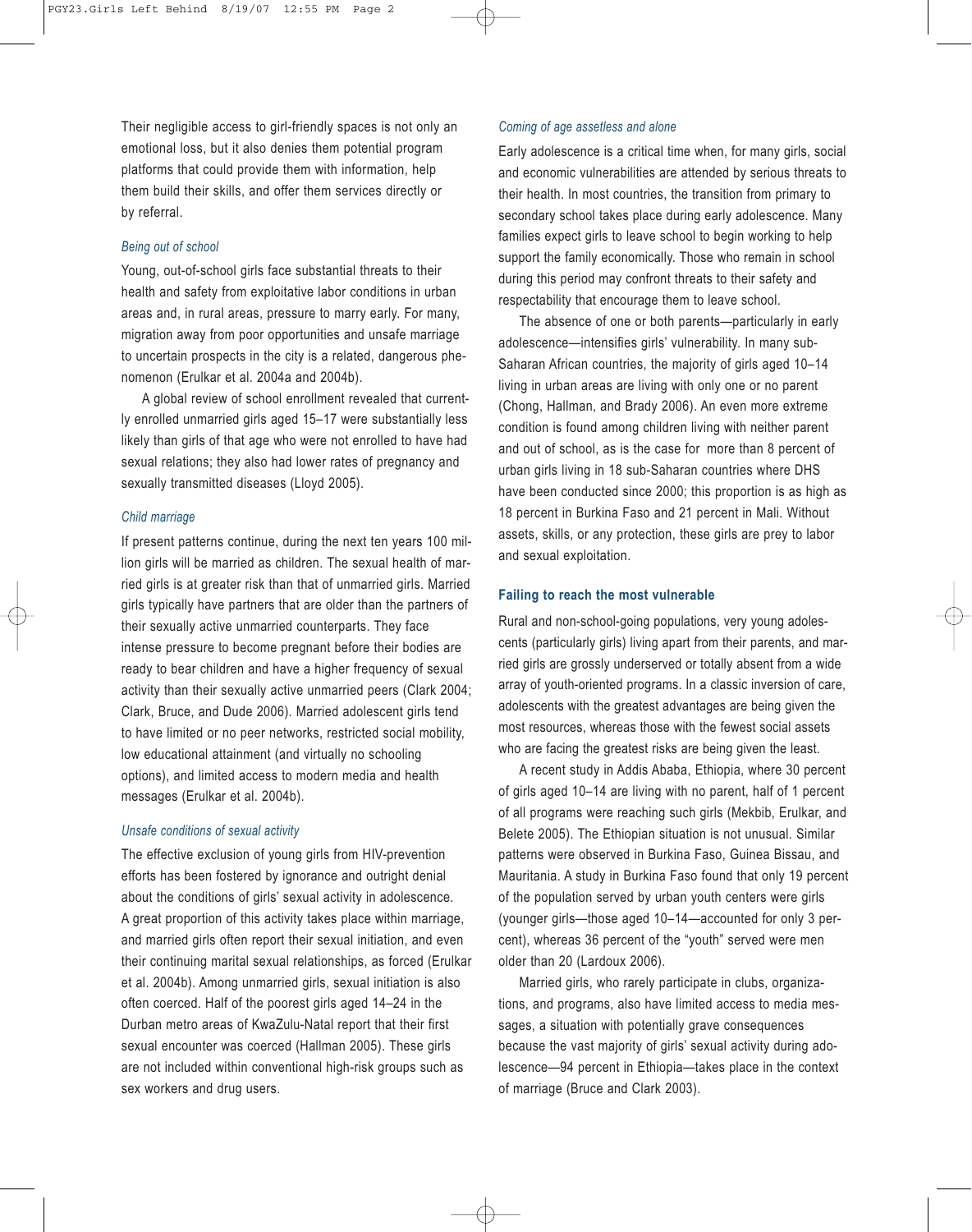Their negligible access to girl-friendly spaces is not only an emotional loss, but it also denies them potential program platforms that could provide them with information, help them build their skills, and offer them services directly or by referral.

#### *Being out of school*

Young, out-of-school girls face substantial threats to their health and safety from exploitative labor conditions in urban areas and, in rural areas, pressure to marry early. For many, migration away from poor opportunities and unsafe marriage to uncertain prospects in the city is a related, dangerous phenomenon (Erulkar et al. 2004a and 2004b).

A global review of school enrollment revealed that currently enrolled unmarried girls aged 15–17 were substantially less likely than girls of that age who were not enrolled to have had sexual relations; they also had lower rates of pregnancy and sexually transmitted diseases (Lloyd 2005).

#### *Child marriage*

If present patterns continue, during the next ten years 100 million girls will be married as children. The sexual health of married girls is at greater risk than that of unmarried girls. Married girls typically have partners that are older than the partners of their sexually active unmarried counterparts. They face intense pressure to become pregnant before their bodies are ready to bear children and have a higher frequency of sexual activity than their sexually active unmarried peers (Clark 2004; Clark, Bruce, and Dude 2006). Married adolescent girls tend to have limited or no peer networks, restricted social mobility, low educational attainment (and virtually no schooling options), and limited access to modern media and health messages (Erulkar et al. 2004b).

#### *Unsafe conditions of sexual activity*

The effective exclusion of young girls from HIV-prevention efforts has been fostered by ignorance and outright denial about the conditions of girls' sexual activity in adolescence. A great proportion of this activity takes place within marriage, and married girls often report their sexual initiation, and even their continuing marital sexual relationships, as forced (Erulkar et al. 2004b). Among unmarried girls, sexual initiation is also often coerced. Half of the poorest girls aged 14–24 in the Durban metro areas of KwaZulu-Natal report that their first sexual encounter was coerced (Hallman 2005). These girls are not included within conventional high-risk groups such as sex workers and drug users.

#### *Coming of age assetless and alone*

Early adolescence is a critical time when, for many girls, social and economic vulnerabilities are attended by serious threats to their health. In most countries, the transition from primary to secondary school takes place during early adolescence. Many families expect girls to leave school to begin working to help support the family economically. Those who remain in school during this period may confront threats to their safety and respectability that encourage them to leave school.

The absence of one or both parents—particularly in early adolescence—intensifies girls' vulnerability. In many sub-Saharan African countries, the majority of girls aged 10–14 living in urban areas are living with only one or no parent (Chong, Hallman, and Brady 2006). An even more extreme condition is found among children living with neither parent and out of school, as is the case for more than 8 percent of urban girls living in 18 sub-Saharan countries where DHS have been conducted since 2000; this proportion is as high as 18 percent in Burkina Faso and 21 percent in Mali. Without assets, skills, or any protection, these girls are prey to labor and sexual exploitation.

#### **Failing to reach the most vulnerable**

Rural and non-school-going populations, very young adolescents (particularly girls) living apart from their parents, and married girls are grossly underserved or totally absent from a wide array of youth-oriented programs. In a classic inversion of care, adolescents with the greatest advantages are being given the most resources, whereas those with the fewest social assets who are facing the greatest risks are being given the least.

A recent study in Addis Ababa, Ethiopia, where 30 percent of girls aged 10–14 are living with no parent, half of 1 percent of all programs were reaching such girls (Mekbib, Erulkar, and Belete 2005). The Ethiopian situation is not unusual. Similar patterns were observed in Burkina Faso, Guinea Bissau, and Mauritania. A study in Burkina Faso found that only 19 percent of the population served by urban youth centers were girls (younger girls—those aged 10–14—accounted for only 3 percent), whereas 36 percent of the "youth" served were men older than 20 (Lardoux 2006).

Married girls, who rarely participate in clubs, organizations, and programs, also have limited access to media messages, a situation with potentially grave consequences because the vast majority of girls' sexual activity during adolescence—94 percent in Ethiopia—takes place in the context of marriage (Bruce and Clark 2003).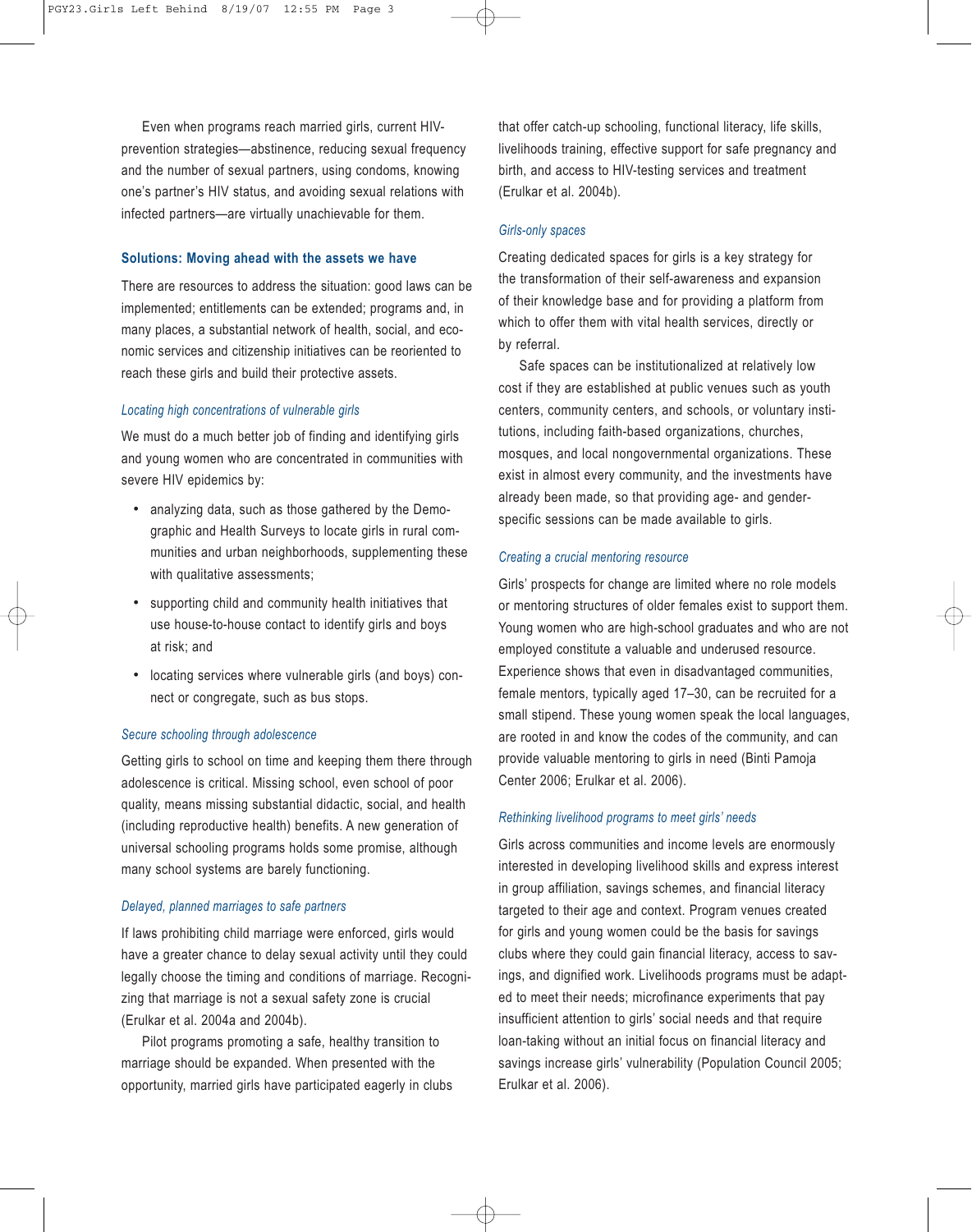Even when programs reach married girls, current HIVprevention strategies—abstinence, reducing sexual frequency and the number of sexual partners, using condoms, knowing one's partner's HIV status, and avoiding sexual relations with infected partners—are virtually unachievable for them.

#### **Solutions: Moving ahead with the assets we have**

There are resources to address the situation: good laws can be implemented; entitlements can be extended; programs and, in many places, a substantial network of health, social, and economic services and citizenship initiatives can be reoriented to reach these girls and build their protective assets.

#### *Locating high concentrations of vulnerable girls*

We must do a much better job of finding and identifying girls and young women who are concentrated in communities with severe HIV epidemics by:

- analyzing data, such as those gathered by the Demographic and Health Surveys to locate girls in rural communities and urban neighborhoods, supplementing these with qualitative assessments;
- supporting child and community health initiatives that use house-to-house contact to identify girls and boys at risk; and
- locating services where vulnerable girls (and boys) connect or congregate, such as bus stops.

#### *Secure schooling through adolescence*

Getting girls to school on time and keeping them there through adolescence is critical. Missing school, even school of poor quality, means missing substantial didactic, social, and health (including reproductive health) benefits. A new generation of universal schooling programs holds some promise, although many school systems are barely functioning.

#### *Delayed, planned marriages to safe partners*

If laws prohibiting child marriage were enforced, girls would have a greater chance to delay sexual activity until they could legally choose the timing and conditions of marriage. Recognizing that marriage is not a sexual safety zone is crucial (Erulkar et al. 2004a and 2004b).

Pilot programs promoting a safe, healthy transition to marriage should be expanded. When presented with the opportunity, married girls have participated eagerly in clubs that offer catch-up schooling, functional literacy, life skills, livelihoods training, effective support for safe pregnancy and birth, and access to HIV-testing services and treatment (Erulkar et al. 2004b).

#### *Girls-only spaces*

Creating dedicated spaces for girls is a key strategy for the transformation of their self-awareness and expansion of their knowledge base and for providing a platform from which to offer them with vital health services, directly or by referral.

Safe spaces can be institutionalized at relatively low cost if they are established at public venues such as youth centers, community centers, and schools, or voluntary institutions, including faith-based organizations, churches, mosques, and local nongovernmental organizations. These exist in almost every community, and the investments have already been made, so that providing age- and genderspecific sessions can be made available to girls.

#### *Creating a crucial mentoring resource*

Girls' prospects for change are limited where no role models or mentoring structures of older females exist to support them. Young women who are high-school graduates and who are not employed constitute a valuable and underused resource. Experience shows that even in disadvantaged communities, female mentors, typically aged 17–30, can be recruited for a small stipend. These young women speak the local languages, are rooted in and know the codes of the community, and can provide valuable mentoring to girls in need (Binti Pamoja Center 2006; Erulkar et al. 2006).

#### *Rethinking livelihood programs to meet girls' needs*

Girls across communities and income levels are enormously interested in developing livelihood skills and express interest in group affiliation, savings schemes, and financial literacy targeted to their age and context. Program venues created for girls and young women could be the basis for savings clubs where they could gain financial literacy, access to savings, and dignified work. Livelihoods programs must be adapted to meet their needs; microfinance experiments that pay insufficient attention to girls' social needs and that require loan-taking without an initial focus on financial literacy and savings increase girls' vulnerability (Population Council 2005; Erulkar et al. 2006).